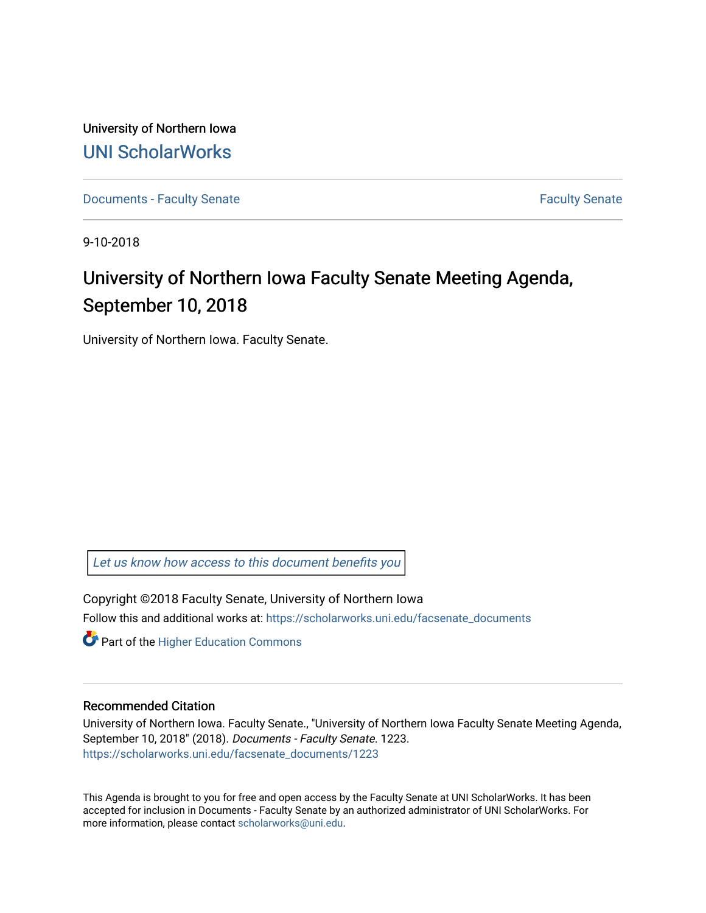University of Northern Iowa [UNI ScholarWorks](https://scholarworks.uni.edu/) 

[Documents - Faculty Senate](https://scholarworks.uni.edu/facsenate_documents) [Faculty Senate](https://scholarworks.uni.edu/facsenate) Faculty Senate

9-10-2018

# University of Northern Iowa Faculty Senate Meeting Agenda, September 10, 2018

University of Northern Iowa. Faculty Senate.

[Let us know how access to this document benefits you](https://scholarworks.uni.edu/feedback_form.html) 

Copyright ©2018 Faculty Senate, University of Northern Iowa Follow this and additional works at: [https://scholarworks.uni.edu/facsenate\\_documents](https://scholarworks.uni.edu/facsenate_documents?utm_source=scholarworks.uni.edu%2Ffacsenate_documents%2F1223&utm_medium=PDF&utm_campaign=PDFCoverPages) 

**Part of the Higher Education Commons** 

#### Recommended Citation

University of Northern Iowa. Faculty Senate., "University of Northern Iowa Faculty Senate Meeting Agenda, September 10, 2018" (2018). Documents - Faculty Senate. 1223. [https://scholarworks.uni.edu/facsenate\\_documents/1223](https://scholarworks.uni.edu/facsenate_documents/1223?utm_source=scholarworks.uni.edu%2Ffacsenate_documents%2F1223&utm_medium=PDF&utm_campaign=PDFCoverPages) 

This Agenda is brought to you for free and open access by the Faculty Senate at UNI ScholarWorks. It has been accepted for inclusion in Documents - Faculty Senate by an authorized administrator of UNI ScholarWorks. For more information, please contact [scholarworks@uni.edu.](mailto:scholarworks@uni.edu)